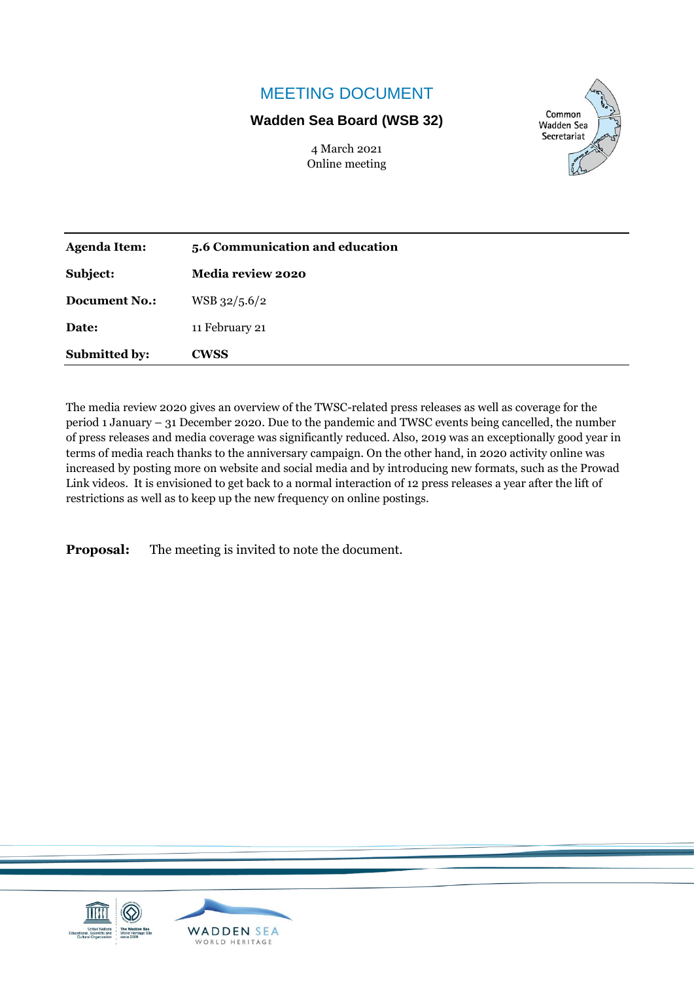# MEETING DOCUMENT

## **Wadden Sea Board (WSB 32)**

4 March 2021 Online meeting



| <b>Agenda Item:</b>  | 5.6 Communication and education |
|----------------------|---------------------------------|
| Subject:             | Media review 2020               |
| <b>Document No.:</b> | WSB 32/5.6/2                    |
| Date:                | 11 February 21                  |
| <b>Submitted by:</b> | <b>CWSS</b>                     |

The media review 2020 gives an overview of the TWSC-related press releases as well as coverage for the period 1 January – 31 December 2020. Due to the pandemic and TWSC events being cancelled, the number of press releases and media coverage was significantly reduced. Also, 2019 was an exceptionally good year in terms of media reach thanks to the anniversary campaign. On the other hand, in 2020 activity online was increased by posting more on website and social media and by introducing new formats, such as the Prowad Link videos. It is envisioned to get back to a normal interaction of 12 press releases a year after the lift of restrictions as well as to keep up the new frequency on online postings.

**Proposal:** The meeting is invited to note the document.

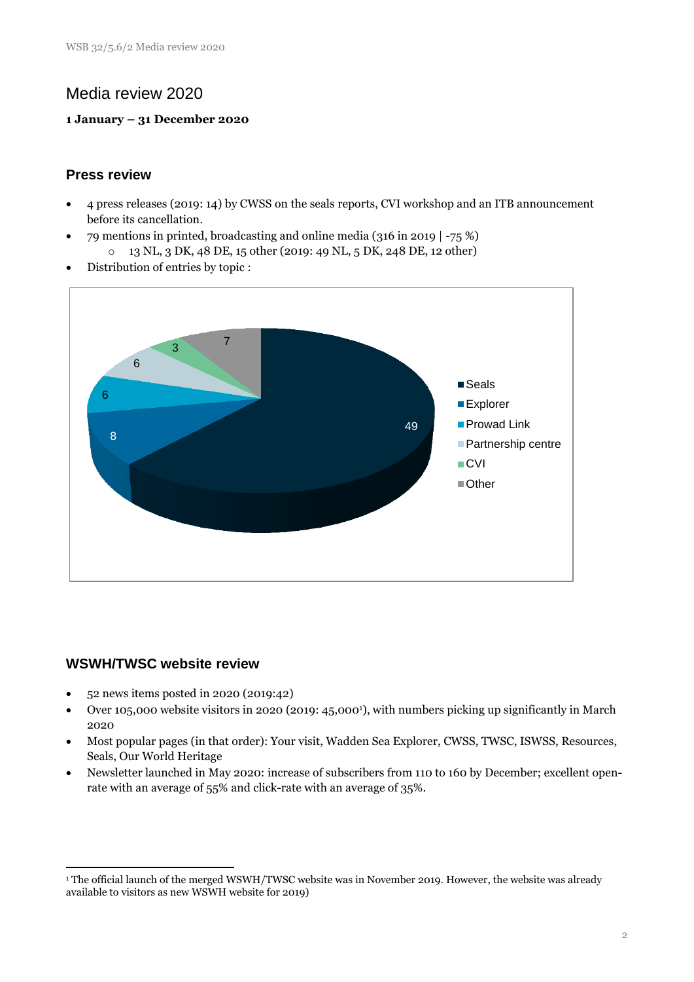## Media review 2020

#### **1 January – 31 December 2020**

### **Press review**

- 4 press releases (2019: 14) by CWSS on the seals reports, CVI workshop and an ITB announcement before its cancellation.
- 79 mentions in printed, broadcasting and online media (316 in 2019 | -75 %)
	- o 13 NL, 3 DK, 48 DE, 15 other (2019: 49 NL, 5 DK, 248 DE, 12 other)
- Distribution of entries by topic :



### **WSWH/TWSC website review**

<u>.</u>

- 52 news items posted in 2020 (2019:42)
- Over 105,000 website visitors in 2020 (2019: 45,0001), with numbers picking up significantly in March 2020
- Most popular pages (in that order): Your visit, Wadden Sea Explorer, CWSS, TWSC, ISWSS, Resources, Seals, Our World Heritage
- Newsletter launched in May 2020: increase of subscribers from 110 to 160 by December; excellent openrate with an average of 55% and click-rate with an average of 35%.

<sup>1</sup> The official launch of the merged WSWH/TWSC website was in November 2019. However, the website was already available to visitors as new WSWH website for 2019)